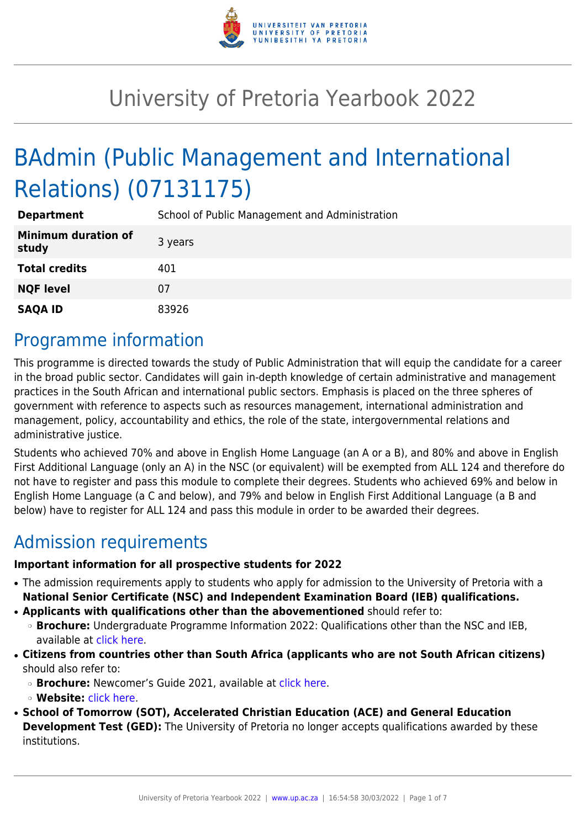

# University of Pretoria Yearbook 2022

# BAdmin (Public Management and International Relations) (07131175)

| <b>Department</b>                   | School of Public Management and Administration |
|-------------------------------------|------------------------------------------------|
| <b>Minimum duration of</b><br>study | 3 years                                        |
| <b>Total credits</b>                | 401                                            |
| <b>NQF level</b>                    | 07                                             |
| <b>SAQA ID</b>                      | 83926                                          |

## Programme information

This programme is directed towards the study of Public Administration that will equip the candidate for a career in the broad public sector. Candidates will gain in-depth knowledge of certain administrative and management practices in the South African and international public sectors. Emphasis is placed on the three spheres of government with reference to aspects such as resources management, international administration and management, policy, accountability and ethics, the role of the state, intergovernmental relations and administrative justice.

Students who achieved 70% and above in English Home Language (an A or a B), and 80% and above in English First Additional Language (only an A) in the NSC (or equivalent) will be exempted from ALL 124 and therefore do not have to register and pass this module to complete their degrees. Students who achieved 69% and below in English Home Language (a C and below), and 79% and below in English First Additional Language (a B and below) have to register for ALL 124 and pass this module in order to be awarded their degrees.

# Admission requirements

#### **Important information for all prospective students for 2022**

- The admission requirements apply to students who apply for admission to the University of Pretoria with a **National Senior Certificate (NSC) and Independent Examination Board (IEB) qualifications.**
- **Applicants with qualifications other than the abovementioned** should refer to:
	- ❍ **Brochure:** Undergraduate Programme Information 2022: Qualifications other than the NSC and IEB, available at [click here.](https://www.up.ac.za/students/article/2749263/admission-information)
- **Citizens from countries other than South Africa (applicants who are not South African citizens)** should also refer to:
	- ❍ **Brochure:** Newcomer's Guide 2021, available at [click here.](https://www.up.ac.za/students/article/2749263/admission-information)
	- ❍ **Website:** [click here](http://www.up.ac.za/international-cooperation-division).
- **School of Tomorrow (SOT), Accelerated Christian Education (ACE) and General Education Development Test (GED):** The University of Pretoria no longer accepts qualifications awarded by these institutions.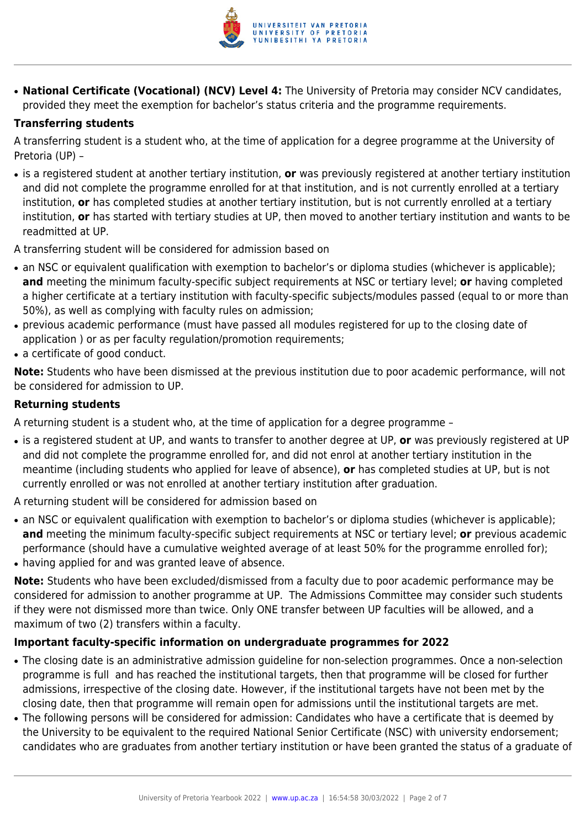

● **National Certificate (Vocational) (NCV) Level 4:** The University of Pretoria may consider NCV candidates, provided they meet the exemption for bachelor's status criteria and the programme requirements.

#### **Transferring students**

A transferring student is a student who, at the time of application for a degree programme at the University of Pretoria (UP) –

● is a registered student at another tertiary institution, **or** was previously registered at another tertiary institution and did not complete the programme enrolled for at that institution, and is not currently enrolled at a tertiary institution, **or** has completed studies at another tertiary institution, but is not currently enrolled at a tertiary institution, **or** has started with tertiary studies at UP, then moved to another tertiary institution and wants to be readmitted at UP.

A transferring student will be considered for admission based on

- an NSC or equivalent qualification with exemption to bachelor's or diploma studies (whichever is applicable); **and** meeting the minimum faculty-specific subject requirements at NSC or tertiary level; **or** having completed a higher certificate at a tertiary institution with faculty-specific subjects/modules passed (equal to or more than 50%), as well as complying with faculty rules on admission;
- previous academic performance (must have passed all modules registered for up to the closing date of application ) or as per faculty regulation/promotion requirements;
- a certificate of good conduct.

**Note:** Students who have been dismissed at the previous institution due to poor academic performance, will not be considered for admission to UP.

#### **Returning students**

A returning student is a student who, at the time of application for a degree programme –

● is a registered student at UP, and wants to transfer to another degree at UP, **or** was previously registered at UP and did not complete the programme enrolled for, and did not enrol at another tertiary institution in the meantime (including students who applied for leave of absence), **or** has completed studies at UP, but is not currently enrolled or was not enrolled at another tertiary institution after graduation.

A returning student will be considered for admission based on

- an NSC or equivalent qualification with exemption to bachelor's or diploma studies (whichever is applicable); **and** meeting the minimum faculty-specific subject requirements at NSC or tertiary level; **or** previous academic performance (should have a cumulative weighted average of at least 50% for the programme enrolled for);
- having applied for and was granted leave of absence.

**Note:** Students who have been excluded/dismissed from a faculty due to poor academic performance may be considered for admission to another programme at UP. The Admissions Committee may consider such students if they were not dismissed more than twice. Only ONE transfer between UP faculties will be allowed, and a maximum of two (2) transfers within a faculty.

#### **Important faculty-specific information on undergraduate programmes for 2022**

- The closing date is an administrative admission guideline for non-selection programmes. Once a non-selection programme is full and has reached the institutional targets, then that programme will be closed for further admissions, irrespective of the closing date. However, if the institutional targets have not been met by the closing date, then that programme will remain open for admissions until the institutional targets are met.
- The following persons will be considered for admission: Candidates who have a certificate that is deemed by the University to be equivalent to the required National Senior Certificate (NSC) with university endorsement; candidates who are graduates from another tertiary institution or have been granted the status of a graduate of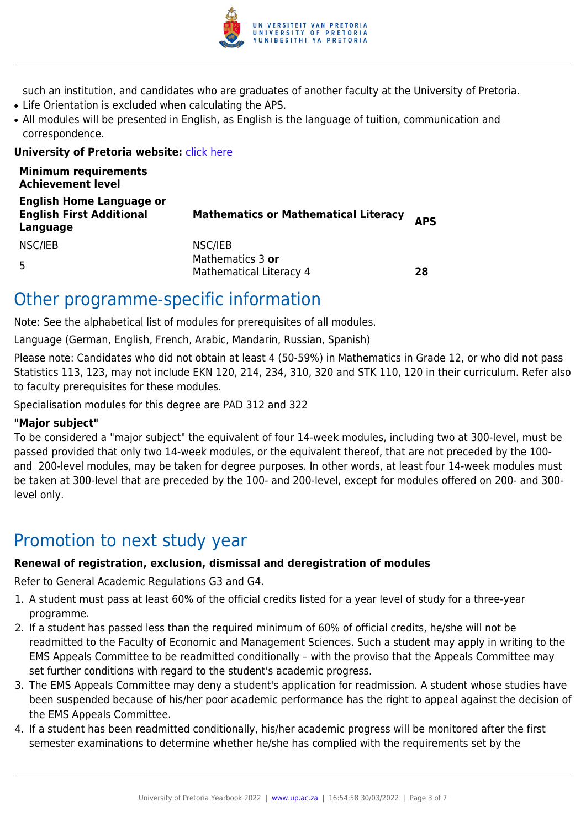

such an institution, and candidates who are graduates of another faculty at the University of Pretoria.

- Life Orientation is excluded when calculating the APS.
- All modules will be presented in English, as English is the language of tuition, communication and correspondence.

#### **University of Pretoria website:** *[click here](http://www.up.ac.za/ems)*

| <b>Minimum requirements</b><br><b>Achievement level</b>                        |                                             |            |
|--------------------------------------------------------------------------------|---------------------------------------------|------------|
| <b>English Home Language or</b><br><b>English First Additional</b><br>Language | <b>Mathematics or Mathematical Literacy</b> | <b>APS</b> |
| NSC/IEB                                                                        | NSC/IEB                                     |            |
| 5                                                                              | Mathematics 3 or<br>Mathematical Literacy 4 | 28         |

### Other programme-specific information

Note: See the alphabetical list of modules for prerequisites of all modules.

Language (German, English, French, Arabic, Mandarin, Russian, Spanish)

Please note: Candidates who did not obtain at least 4 (50-59%) in Mathematics in Grade 12, or who did not pass Statistics 113, 123, may not include EKN 120, 214, 234, 310, 320 and STK 110, 120 in their curriculum. Refer also to faculty prerequisites for these modules.

Specialisation modules for this degree are PAD 312 and 322

#### **"Major subject"**

To be considered a "major subject" the equivalent of four 14-week modules, including two at 300-level, must be passed provided that only two 14-week modules, or the equivalent thereof, that are not preceded by the 100 and 200-level modules, may be taken for degree purposes. In other words, at least four 14-week modules must be taken at 300-level that are preceded by the 100- and 200-level, except for modules offered on 200- and 300 level only.

# Promotion to next study year

#### **Renewal of registration, exclusion, dismissal and deregistration of modules**

Refer to General Academic Regulations G3 and G4.

- 1. A student must pass at least 60% of the official credits listed for a year level of study for a three-year programme.
- 2. If a student has passed less than the required minimum of 60% of official credits, he/she will not be readmitted to the Faculty of Economic and Management Sciences. Such a student may apply in writing to the EMS Appeals Committee to be readmitted conditionally – with the proviso that the Appeals Committee may set further conditions with regard to the student's academic progress.
- 3. The EMS Appeals Committee may deny a student's application for readmission. A student whose studies have been suspended because of his/her poor academic performance has the right to appeal against the decision of the EMS Appeals Committee.
- 4. If a student has been readmitted conditionally, his/her academic progress will be monitored after the first semester examinations to determine whether he/she has complied with the requirements set by the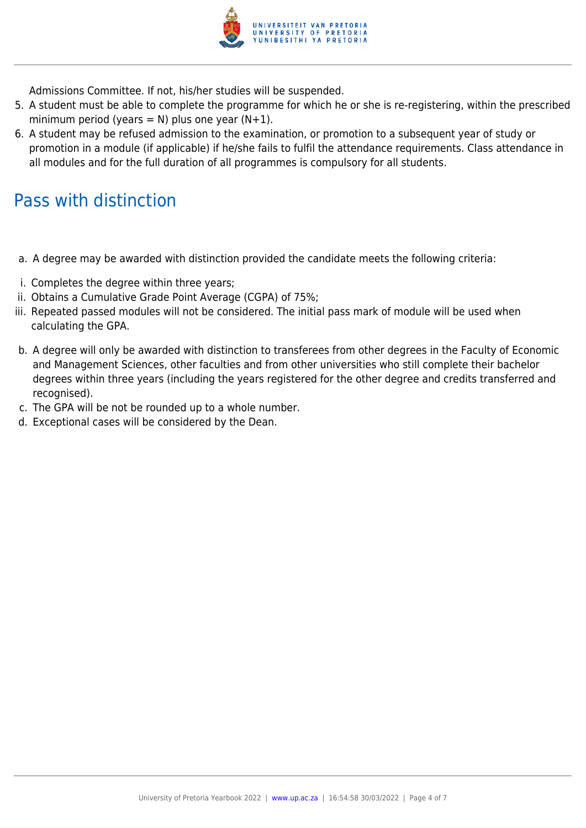

Admissions Committee. If not, his/her studies will be suspended.

- 5. A student must be able to complete the programme for which he or she is re-registering, within the prescribed minimum period (years = N) plus one year  $(N+1)$ .
- 6. A student may be refused admission to the examination, or promotion to a subsequent year of study or promotion in a module (if applicable) if he/she fails to fulfil the attendance requirements. Class attendance in all modules and for the full duration of all programmes is compulsory for all students.

## Pass with distinction

- a. A degree may be awarded with distinction provided the candidate meets the following criteria:
- i. Completes the degree within three years;
- ii. Obtains a Cumulative Grade Point Average (CGPA) of 75%;
- iii. Repeated passed modules will not be considered. The initial pass mark of module will be used when calculating the GPA.
- b. A degree will only be awarded with distinction to transferees from other degrees in the Faculty of Economic and Management Sciences, other faculties and from other universities who still complete their bachelor degrees within three years (including the years registered for the other degree and credits transferred and recognised).
- c. The GPA will be not be rounded up to a whole number.
- d. Exceptional cases will be considered by the Dean.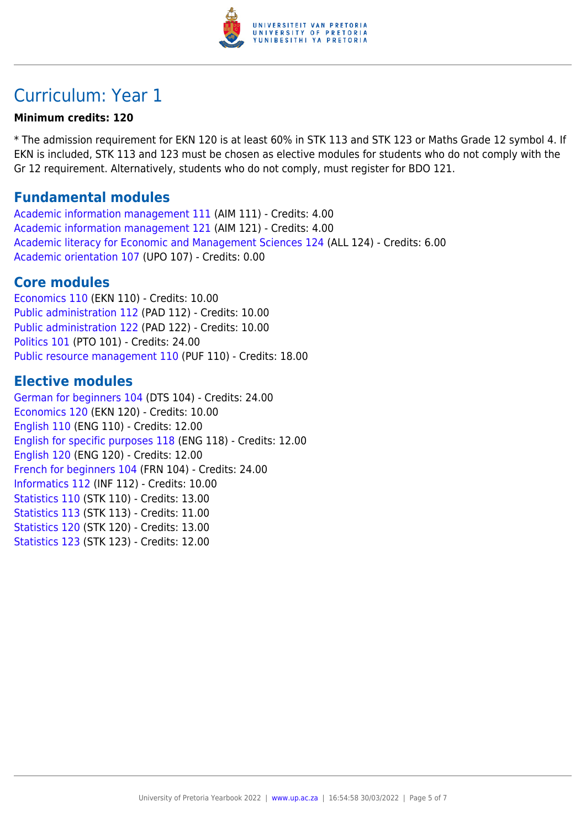

# Curriculum: Year 1

#### **Minimum credits: 120**

\* The admission requirement for EKN 120 is at least 60% in STK 113 and STK 123 or Maths Grade 12 symbol 4. If EKN is included, STK 113 and 123 must be chosen as elective modules for students who do not comply with the Gr 12 requirement. Alternatively, students who do not comply, must register for BDO 121.

### **Fundamental modules**

[Academic information management 111](https://www.up.ac.za/yearbooks/2022/modules/view/AIM 111) (AIM 111) - Credits: 4.00 [Academic information management 121](https://www.up.ac.za/yearbooks/2022/modules/view/AIM 121) (AIM 121) - Credits: 4.00 [Academic literacy for Economic and Management Sciences 124](https://www.up.ac.za/yearbooks/2022/modules/view/ALL 124) (ALL 124) - Credits: 6.00 [Academic orientation 107](https://www.up.ac.za/yearbooks/2022/modules/view/UPO 107) (UPO 107) - Credits: 0.00

### **Core modules**

[Economics 110](https://www.up.ac.za/yearbooks/2022/modules/view/EKN 110) (EKN 110) - Credits: 10.00 [Public administration 112](https://www.up.ac.za/yearbooks/2022/modules/view/PAD 112) (PAD 112) - Credits: 10.00 [Public administration 122](https://www.up.ac.za/yearbooks/2022/modules/view/PAD 122) (PAD 122) - Credits: 10.00 [Politics 101](https://www.up.ac.za/yearbooks/2022/modules/view/PTO 101) (PTO 101) - Credits: 24.00 [Public resource management 110](https://www.up.ac.za/yearbooks/2022/modules/view/PUF 110) (PUF 110) - Credits: 18.00

### **Elective modules**

[German for beginners 104](https://www.up.ac.za/yearbooks/2022/modules/view/DTS 104) (DTS 104) - Credits: 24.00 [Economics 120](https://www.up.ac.za/yearbooks/2022/modules/view/EKN 120) (EKN 120) - Credits: 10.00 [English 110](https://www.up.ac.za/yearbooks/2022/modules/view/ENG 110) (ENG 110) - Credits: 12.00 [English for specific purposes 118](https://www.up.ac.za/yearbooks/2022/modules/view/ENG 118) (ENG 118) - Credits: 12.00 [English 120](https://www.up.ac.za/yearbooks/2022/modules/view/ENG 120) (ENG 120) - Credits: 12.00 [French for beginners 104](https://www.up.ac.za/yearbooks/2022/modules/view/FRN 104) (FRN 104) - Credits: 24.00 [Informatics 112](https://www.up.ac.za/yearbooks/2022/modules/view/INF 112) (INF 112) - Credits: 10.00 [Statistics 110](https://www.up.ac.za/yearbooks/2022/modules/view/STK 110) (STK 110) - Credits: 13.00 [Statistics 113](https://www.up.ac.za/yearbooks/2022/modules/view/STK 113) (STK 113) - Credits: 11.00 [Statistics 120](https://www.up.ac.za/yearbooks/2022/modules/view/STK 120) (STK 120) - Credits: 13.00 [Statistics 123](https://www.up.ac.za/yearbooks/2022/modules/view/STK 123) (STK 123) - Credits: 12.00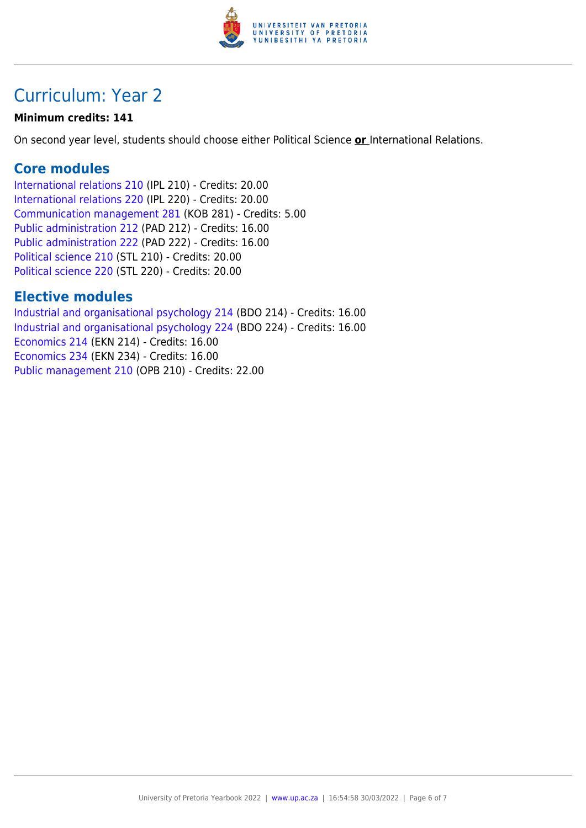

# Curriculum: Year 2

### **Minimum credits: 141**

On second year level, students should choose either Political Science **or** International Relations.

### **Core modules**

[International relations 210](https://www.up.ac.za/yearbooks/2022/modules/view/IPL 210) (IPL 210) - Credits: 20.00 [International relations 220](https://www.up.ac.za/yearbooks/2022/modules/view/IPL 220) (IPL 220) - Credits: 20.00 [Communication management 281](https://www.up.ac.za/yearbooks/2022/modules/view/KOB 281) (KOB 281) - Credits: 5.00 [Public administration 212](https://www.up.ac.za/yearbooks/2022/modules/view/PAD 212) (PAD 212) - Credits: 16.00 [Public administration 222](https://www.up.ac.za/yearbooks/2022/modules/view/PAD 222) (PAD 222) - Credits: 16.00 [Political science 210](https://www.up.ac.za/yearbooks/2022/modules/view/STL 210) (STL 210) - Credits: 20.00 [Political science 220](https://www.up.ac.za/yearbooks/2022/modules/view/STL 220) (STL 220) - Credits: 20.00

### **Elective modules**

[Industrial and organisational psychology 214](https://www.up.ac.za/yearbooks/2022/modules/view/BDO 214) (BDO 214) - Credits: 16.00 [Industrial and organisational psychology 224](https://www.up.ac.za/yearbooks/2022/modules/view/BDO 224) (BDO 224) - Credits: 16.00 [Economics 214](https://www.up.ac.za/yearbooks/2022/modules/view/EKN 214) (EKN 214) - Credits: 16.00 [Economics 234](https://www.up.ac.za/yearbooks/2022/modules/view/EKN 234) (EKN 234) - Credits: 16.00 [Public management 210](https://www.up.ac.za/yearbooks/2022/modules/view/OPB 210) (OPB 210) - Credits: 22.00